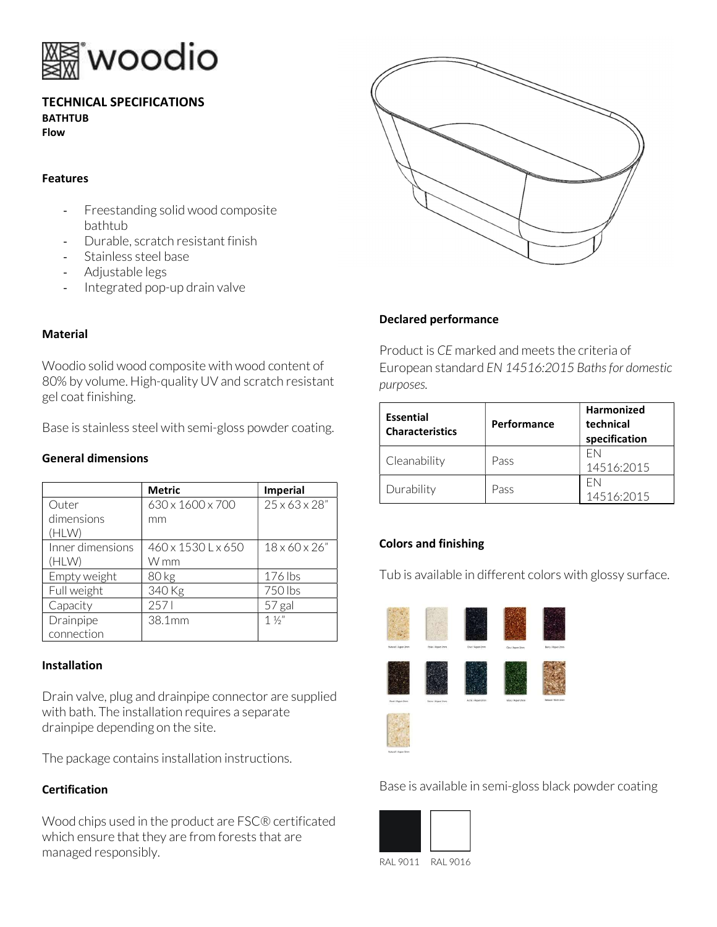

### TECHNICAL SPECIFICATIONS BATHTUB Flow

#### Features

- Freestanding solid wood composite bathtub
- Durable, scratch resistant finish
- Stainless steel base
- Adjustable legs
- Integrated pop-up drain valve

# **Material**

Woodio solid wood composite with wood content of 80% by volume. High-quality UV and scratch resistant gel coat finishing.

Base is stainless steel with semi-gloss powder coating.

### General dimensions

|                  | <b>Metric</b>      | <b>Imperial</b>           |
|------------------|--------------------|---------------------------|
| Outer            | 630 x 1600 x 700   | $25 \times 63 \times 28"$ |
| dimensions       | mm                 |                           |
| (HLW)            |                    |                           |
| Inner dimensions | 460 x 1530 L x 650 | $18 \times 60 \times 26"$ |
| (HLW)            | W mm               |                           |
| Empty weight     | 80 <sub>kg</sub>   | 176 lbs                   |
| Full weight      | 340 Kg             | 750 lbs                   |
| Capacity         | 2571               | 57 gal                    |
| Drainpipe        | 38.1mm             | $1\frac{1}{2}$            |
| connection       |                    |                           |

### **Installation**

Drain valve, plug and drainpipe connector are supplied with bath. The installation requires a separate drainpipe depending on the site.

The package contains installation instructions.

# Certification

Wood chips used in the product are FSC® certificated which ensure that they are from forests that are managed responsibly.



# Declared performance

Product is CE marked and meets the criteria of European standard EN 14516:2015 Baths for domestic purposes.

| <b>Essential</b><br><b>Characteristics</b> | Performance | <b>Harmonized</b><br>technical<br>specification |
|--------------------------------------------|-------------|-------------------------------------------------|
| Cleanability                               | Pass        | FN<br>14516:2015                                |
| Durability                                 | Pass        | FN<br>14516:2015                                |

# Colors and finishing

Tub is available in different colors with glossy surface.



Base is available in semi-gloss black powder coating